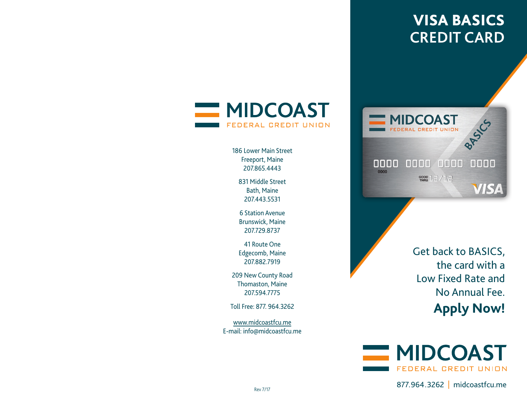# VISA BASICS**CREDIT CARD**



186 Lower Main StreetFreeport, Maine 207.865.4443

831 Middle StreetBath, Maine 207.443.5531

6 Station AvenueBrunswick, Maine 207.729.8737

41 Route OneEdgecomb, Maine 207.882.7919

209 New County Road Thomaston, Maine 207.594.7775

Toll Free: 877. 964.3262

www.midcoastfcu.meE-mail: info@midcoastfcu.me



Get back to BASICS, the card with a Low Fixed Rate andNo Annual Fee.**Apply Now!**



877.964.3262 | midcoastfcu.me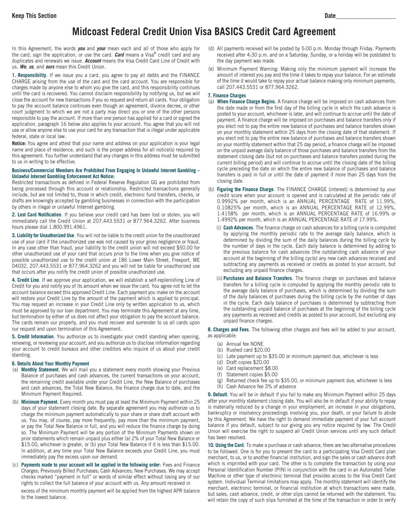## **Midcoast Federal Credit Union Visa BASICS Credit Card Agreement**

In this Agreement, the words *you* and *your* mean each and all of those who apply for the card, sign the application, or use the card. *Card* means a Visa® credit card and any duplicates and renewals we issue. *Account* means the Visa Credit Card Line of Credit with us. *We*, *us*, and *ours* mean this Credit Union.

**1. Responsibility**. If we issue you a card, you agree to pay all debts and the FINANCE CHARGE arising from the use of the card and the card account. You are responsible for charges made by anyone else to whom you give the card, and this responsibility continues until the card is recovered. You cannot disclaim responsibility by notifying us, but we will close the account for new transactions if you so request and return all cards. Your obligation to pay the account balance continues even though an agreement, divorce decree, or other court judgment to which we are not a party may direct you or one of the other persons responsible to pay the account. If more than one person has applied for a card or signed the application, paragraph 16 below also applies to your account. You agree that you will not use or allow anyone else to use your card for any transaction that is illegal under applicable federal, state or local law.

**Notice:** You agree and attest that your name and address on your application is your legal name and place of residence, and such is the proper address for all notice(s) required by this agreement. You further understand that any changes in this address must be submitted to us in writing to be effective.

#### **Business/Commercial Members Are Prohibited From Engaging In Unlawful Internet Gambling – Unlawful Internet Gambling Enforcement Act Notice:**

Restricted transactions as defined in Federal Reserve Regulation GG are prohibited from being processed through this account or relationship. Restricted transactions generally include, but are not limited to, those in which credit, electronic fund transfers, checks, or drafts are knowingly accepted by gambling businesses in connection with the participation by others in illegal or unlawful Internet gambling.

**2. Lost Card Notification**. If you believe your credit card has been lost or stolen, you will immediately call the Credit Union at 207.443.5531 or 877.964.3262. After business hours please dial 1.800.991.4961.

**3. Liability for Unauthorized Use**. You will not be liable to the credit union for the unauthorized use of your card if the unauthorized use was not caused by your gross negligence or fraud. In any case other than fraud, your liability to the credit union will not exceed \$50.00 for other unauthorized use of your card that occurs prior to the time when you give notice of possible unauthorized use to the credit union at 186 Lower Main Street, Freeport, ME 04032, 207.443.5531 or 877.964.3262 and you will not be liable for unauthorized use that occurs after you notify the credit union of possible unauthorized use.

**4. Credit Line**. If we approve your application, we will establish a self-replenishing Line of Credit for you and notify you of its amount when we issue the card. You agree not to let the account balance exceed this approved Credit Line. Each payment you make on the account will restore your Credit Line by the amount of the payment which is applied to principal. You may request an increase in your Credit Line only by written application to us, which must be approved by our loan department. You may terminate this Agreement at any time, but termination by either of us does not affect your obligation to pay the account balance. The cards remain our property, and you must recover and surrender to us all cards upon our request and upon termination of this Agreement.

**5. Credit Information**. You authorize us to investigate your credit standing when opening, renewing, or reviewing your account, and you authorize us to disclose information regarding your account to credit bureaus and other creditors who inquire of us about your credit standing.

#### **6. Details About Your Monthly Payment**

- (a) **Monthly Statement**. We will mail you a statement every month showing your Previous Balance of purchases and cash advances, the current transactions on your account, the remaining credit available under your Credit Line, the New Balance of purchases and cash advances, the Total New Balance, the finance charge due to date, and the Minimum Payment Required.
- (b) **Minimum Payment**. Every month you must pay at least the Minimum Payment within 25 days of your statement closing date. By separate agreement you may authorize us to charge the minimum payment automatically to your share or share draft account with us. You may, of course, pay more frequently, pay more than the minimum payment, or pay the Total New Balance in full, and you will reduce the finance charge by doing so. The Minimum Payment will be any portion of the Minimum Payments shown on prior statements which remain unpaid plus either (a) 2% of your Total New Balance or \$15.00, whichever is greater, or (b) your Total New Balance if it is less than \$15.00. In addition, at any time your Total New Balance exceeds your Credit Line, you must immediately pay the excess upon our demand.
- (c) **Payments made to your account will be applied in the following order**: Fees and Finance Charges; Previously Billed Purchases; Cash Advances; New Purchases. We may accept checks marked "payment in full" or words of similar effect without losing any of our rights to collect the full balance of your account with us. Any amount received in

excess of the minimum monthly payment will be applied from the highest APR balance to the lowest balance.

- (d) All payments received will be posted by 5:00 p.m. Monday through Friday. Payments received after 4:30 p.m. and on a Saturday, Sunday, or a holiday will be postdated to the day payment was made.
- (e) Minimum Payment Warning: Making only the minimum payment will increase the amount of interest you pay and the time it takes to repay your balance. For an estimate of the time it would take to repay your actual balance making only minimum payments, call 207.443.5531 or 877.964.3262.

#### **7. Finance Charges**

- (a) **When Finance Charge Begins**. A finance charge will be imposed on cash advances from the date made or from the first day of the billing cycle in which the cash advance is posted to your account, whichever is later, and will continue to accrue until the date of payment. A finance charge will be imposed on purchases and balance transfers only if you elect not to pay the entire new balance of purchases and balance transfers shown on your monthly statement within 25 days from the closing date of that statement. If you elect not to pay the entire new balance of purchases and balance transfers shown on your monthly statement within that 25 day period, a finance charge will be imposed on the unpaid average daily balance of those purchases and balance transfers from the statement closing date (but not on purchases and balance transfers posted during the current billing period) and will continue to accrue until the closing date of the billing cycle preceding the date on which the entire new balance of purchases and balance transfers is paid in full or until the date of payment if more than 25 days from the closing date.
- (b) **Figuring the Finance Charge**. The FINANCE CHARGE (interest) is determined by your credit score when your account is opened and is calculated at the periodic rate of 0.9992% per month, which is an ANNUAL PERCENTAGE RATE of 11.99%, 0.10825% per month, which is an ANNUAL PERCENTAGE RATE of 12.99%, 1.4158% per month, which is an ANNUAL PERCENTAGE RATE of 16.99% or 1.4992% per month, which is an ANNUAL PERCENTAGE RATE of 17.99%.
	- (i) **Cash Advances**. The finance charge on cash advances for a billing cycle is computed by applying the monthly periodic rate to the average daily balance, which is determined by dividing the sum of the daily balances during the billing cycle by the number of days in the cycle. Each daily balance is determined by adding to the previous balance for cash advances (the outstanding cash advance of your account at the beginning of the billing cycle) any new cash advances received and subtracting any payments as received or credits as posted to your account, but excluding any unpaid finance charges.
	- (ii) **Purchases and Balance Transfers**. The finance charge on purchases and balance transfers for a billing cycle is computed by applying the monthly periodic rate to the average daily balance of purchases, which is determined by dividing the sum of the daily balances of purchases during the billing cycle by the number of days in the cycle. Each daily balance of purchases is determined by subtracting from the outstanding unpaid balance of purchases at the beginning of the billing cycle any payments as received and credits as posted to your account, but excluding any unpaid finance charges.

**8. Charges and Fees**. The following other charges and fees will be added to your account, as applicable:

- (a) Annual fee NONE
- (b) Rushed card \$20.00
- (c) Late payment up to \$35.00 or minimum payment due, whichever is less
- (d) Draft copies \$20.00
- (e) Card replacement \$8.00
- (f) Statement copies \$5.00
- (g) Returned check fee up to \$35.00, or minimum payment due, whichever is less (h) Cash Advance fee 3% of advance

**9. Default**. You will be in default if you fail to make any Minimum Payment within 25 days after your monthly statement closing date. You will also be in default if your ability to repay is materially reduced by a change in your employment, an increase in your obligations, bankruptcy or insolvency proceedings involving you, your death, or your failure to abide by this Agreement. We have the right to demand immediate payment of your full account balance if you default, subject to our giving you any notice required by law. The Credit Union will exercise the right to suspend all Credit Union services until any such default has been resolved.

**10. Using the Card**. To make a purchase or cash advance, there are two alternative procedures to be followed. One is for you to present the card to a participating Visa Credit Card plan merchant, to us, or to another financial institution, and sign the sales or cash advance draft which is imprinted with your card. The other is to complete the transaction by using your Personal Identification Number (PIN) in conjunction with the card in an Automated Teller Machine or other type of electronic terminal that provides access to the Visa Credit Card system. Individual Terminal limitations may apply. The monthly statement will identify the merchant, electronic terminal, or financial institution at which transactions were made, but sales, cash advance, credit, or other slips cannot be returned with the statement. You will retain the copy of such slips furnished at the time of the transaction in order to verify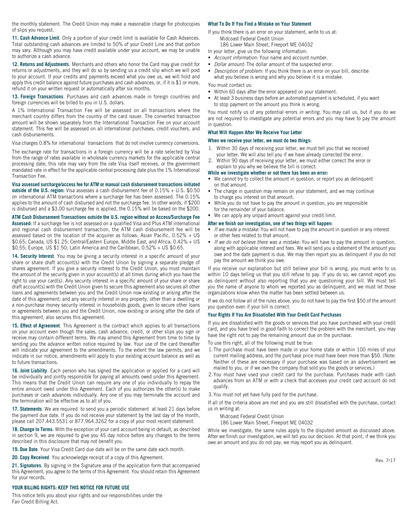the monthly statement. The Credit Union may make a reasonable charge for photocopies of slips you request.

**11. Cash Advance Limit**. Only a portion of your credit limit is available for Cash Advances. Total outstanding cash advances are limited to 50% of your Credit Line and that portion may vary. Although you may have credit available under your account, we may be unable to authorize a cash advance.

**12. Returns and Adjustments**. Merchants and others who honor the Card may give credit for returns or adjustments, and they will do so by sending us a credit slip which we will post to your account. If your credits and payments exceed what you owe us, we will hold and apply this credit balance against future purchases and cash advances, or, if it is \$1 or more, refund it on your written request or automatically after six months.

**13. Foreign Transactions**. Purchases and cash advances made in foreign countries and foreign currencies will be billed to you in U.S. dollars.

A 1% International Transaction Fee will be assessed on all transactions where the merchant country differs from the country of the card issuer. The converted transaction amount will be shown separately from the International Transaction Fee on your account statement. This fee will be assessed on all international purchases, credit vouchers, and cash disbursements.

Visa charges 0.8% for international transactions that do not involve currency conversions.

The exchange rate for transactions in a foreign currency will be a rate selected by Visa from the range of rates available in wholesale currency markets for the applicable central processing date; this rate may vary from the rate Visa itself receives, or the government mandated rate in effect for the applicable central processing date plus the 1% International Transaction Fee.

**Visa assessed surcharge/access fee for ATM or manual cash disbursement transactions initiated** 

**outside of the U.S. region:** Visa assesses a cash disbursement fee of 0.15% + U.S. \$0.50 on international ATM transactions where a surcharge fee has been assessed. The 0.15% applies to the amount of cash disbursed and not the surcharge fee. In other words, if \$200 is disbursed and a \$3.00 surcharge fee is applied, the 0.15% will be based on the \$200.

#### **ATM Cash Disbursement Transactions outside the U.S. region without an Access/Surcharge Fee**

**Assessed:** If a surcharge fee is not assessed on a qualified Visa and Plus ATM international and regional cash disbursement transaction, the ATM cash disbursement fee will be assessed based on the location of the acquirer as follows: Asian Pacific, 0.52% + US \$0.65; Canada, US \$1.25; Central/Eastern Europe, Middle East, and Africa, 0.42% + US \$0.55; Europe, US \$1.50; Latin America and the Caribbean, 0.52% + US \$0.65.

**14. Security Interest**. You may be giving a security interest in a specific amount of your share or share draft account(s) with the Credit Union by signing a separate pledge of shares agreement. If you give a security interest to the Credit Union, you must maintain the amount of the security given in your account(s) at all times during which you have the right to use your card(s). Any security interest in a specific amount of your share or share draft account(s) with the Credit Union given to secure this agreement also secures all other loans and agreements between you and the Credit Union now existing or arising after the date of this agreement; and any security interest in any property, other than a dwelling or a non-purchase money security interest in households goods, given to secure other loans or agreements between you and the Credit Union, now existing or arising after the date of this agreement, also secures this agreement.

**15. Effect of Agreement**. This Agreement is the contract which applies to all transactions on your account even though the sales, cash advance, credit, or other slips you sign or receive may contain different terms. We may amend this Agreement from time to time by sending you the advance written notice required by law. Your use of the card thereafter will indicate your agreement to the amendments. To the extent the law permits, and we indicate in our notice, amendments will apply to your existing account balance as well as to future transactions.

**16. Joint Liability**. Each person who has signed the application or applied for a card will be individually and jointly responsible for paying all amounts owed under this Agreement. This means that the Credit Union can require any one of you individually to repay the entire amount owed under this Agreement. Each of you authorizes the other(s) to make purchases or cash advances individually. Any one of you may terminate the account and the termination will be effective as to all of you.

**17. Statements**. We are required to send you a periodic statement at least 21 days before the payment due date. If you do not receive your statement by the last day of the month, please call 207.443.5531 or 877.964.3262 for a copy of your most recent statement.

**18. Change to Terms**. With the exception of your card account being in default, as described in section 9, we are required to give you 45 day notice before any changes to the terms described in this disclosure that may not benefit you.

**19. Due Date**. Your Visa Credit Card due date will be on the same date each month.

**20. Copy Received**. You acknowledge receipt of a copy of this Agreement.

**21. Signatures**. By signing in the Signature area of the application form that accompanied this Agreement, you agree to the terms of this Agreement. You should retain this Agreement for your records.

#### **YOUR BILLING RIGHTS: KEEP THIS NOTICE FOR FUTURE USE**

This notice tells you about your rights and our responsibilities under the Fair Credit Billing Act.

#### **What To Do If You Find a Mistake on Your Statement**

- If you think there is an error on your statement, write to us at: Midcoast Federal Credit Union
- 186 Lower Main Street, Freeport ME 04032
- In your letter, give us the following information:
- *Account information:* Your name and account number.
- *Dollar amount:* The dollar amount of the suspected error.
- *Description of problem:* If you think there is an error on your bill, describe what you believe is wrong and why you believe it is a mistake.

You must contact us:

- Within 60 days after the error appeared on your statement.
- At least 3 business days before an automated payment is scheduled, if you want to stop payment on the amount you think is wrong.

You must notify us of any potential errors *in writing*. You may call us, but if you do we are not required to investigate any potential errors and you may have to pay the amount in question.

#### **What Will Happen After We Receive Your Letter**

#### **When we receive your letter, we must do two things:**

- 1. Within 30 days of receiving your letter, we must tell you that we received your letter. We will also tell you if we have already corrected the error.
- 2. Within 90 days of receiving your letter, we must either correct the error or explain to you why we believe the bill is correct.

#### **While we investigate whether or not there has been an error:**

- We cannot try to collect the amount in question, or report you as delinquent on that amount.
- The charge in question may remain on your statement, and we may continue to charge you interest on that amount.
- While you do not have to pay the amount in question, you are responsible for the remainder of your balance.
- We can apply any unpaid amount against your credit limit.

#### **After we finish our investigation, one of two things will happen:**

- *If we made a mistake:* You will not have to pay the amount in question or any interest or other fees related to that amount.
- *If we do not believe there was a mistake:* You will have to pay the amount in question, along with applicable interest and fees. We will send you a statement of the amount you owe and the date payment is due. We may then report you as delinquent if you do not pay the amount we think you owe.

If you receive our explanation but still believe your bill is wrong, you must write to us within 10 days telling us that you still refuse to pay. If you do so, we cannot report you as delinquent without also reporting that you are questioning your bill. We must tell you the name of anyone to whom we reported you as delinquent, and we must let those organizations know when the matter has been settled between us.

If we do not follow all of the rules above, you do not have to pay the first \$50 of the amount you question even if your bill is correct.

#### **Your Rights If You Are Dissatisfied With Your Credit Card Purchases**

If you are dissatisfied with the goods or services that you have purchased with your credit card, and you have tried in good faith to correct the problem with the merchant, you may have the right not to pay the remaining amount due on the purchase.

- To use this right, all of the following must be true:
- 1.The purchase must have been made in your home state or within 100 miles of your current mailing address, and the purchase price must have been more than \$50. (Note: Neither of these are necessary if your purchase was based on an advertisement we mailed to you, or if we own the company that sold you the goods or services.)
- 2.You must have used your credit card for the purchase. Purchases made with cash advances from an ATM or with a check that accesses your credit card account do not qualify.

3.You must not yet have fully paid for the purchase.

If all of the criteria above are met and you are still dissatisfied with the purchase, contact us in writing at:

Midcoast Federal Credit Union

186 Lower Main Street, Freeport ME 04032

While we investigate, the same rules apply to the disputed amount as discussed above. After we finish our investigation, we will tell you our decision. At that point, if we think you owe an amount and you do not pay, we may report you as delinquent.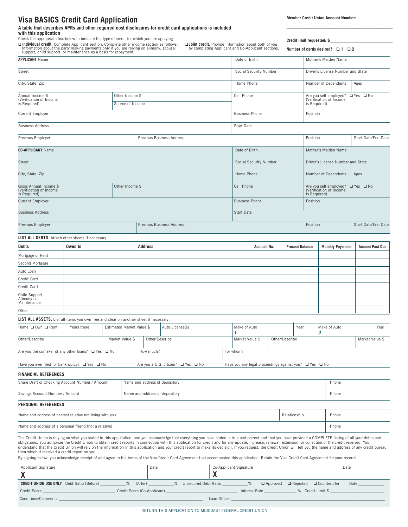### **Visa BASICS Credit Card Application**

**A table that describes APRs and other required cost disclosures for credit card applications is included with this application**

Check the appropriate box below to indicate the type of credit for which you are applying.

**□ Individual credit**. Complete Applicant section. Complete other income section as follows:<br>Information about the party making payments only if you are relying on alimony, spousal<br>support, child support, or maintenance a

❑ **Joint credit**. Provide information about both of you by completing Applicant and Co-Applicant sections.

**\_\_\_\_\_\_\_\_\_\_\_\_\_\_\_\_\_\_\_\_\_\_\_\_\_\_\_\_\_\_\_\_\_\_\_\_\_\_\_\_\_\_\_\_\_\_\_\_\_**

**Credit limit requested: \$\_\_\_\_\_\_\_\_\_\_\_\_\_\_\_\_\_\_\_\_\_\_\_\_\_\_\_\_\_ Number of cards desired?** ❑ **1** ❑ **2**

| <b>APPLICANT Name</b>                                                                 |                                     |  |                                |         |              | Date of Birth                                                                                                                                                                                                                                                                                                                                                                                                                                                                                                                                                                                                                                                                                                                                                                                                                                                     |                                   |                                                                  |                                   | Mother's Maiden Name                                                                |                                                                                           |                                 |                      |                         |                     |                        |
|---------------------------------------------------------------------------------------|-------------------------------------|--|--------------------------------|---------|--------------|-------------------------------------------------------------------------------------------------------------------------------------------------------------------------------------------------------------------------------------------------------------------------------------------------------------------------------------------------------------------------------------------------------------------------------------------------------------------------------------------------------------------------------------------------------------------------------------------------------------------------------------------------------------------------------------------------------------------------------------------------------------------------------------------------------------------------------------------------------------------|-----------------------------------|------------------------------------------------------------------|-----------------------------------|-------------------------------------------------------------------------------------|-------------------------------------------------------------------------------------------|---------------------------------|----------------------|-------------------------|---------------------|------------------------|
| Street                                                                                |                                     |  |                                |         |              | Social Security Number                                                                                                                                                                                                                                                                                                                                                                                                                                                                                                                                                                                                                                                                                                                                                                                                                                            |                                   |                                                                  |                                   | Driver's License Number and State                                                   |                                                                                           |                                 |                      |                         |                     |                        |
| City, State, Zip                                                                      |                                     |  |                                |         |              |                                                                                                                                                                                                                                                                                                                                                                                                                                                                                                                                                                                                                                                                                                                                                                                                                                                                   | Home Phone                        |                                                                  |                                   | Number of Dependents                                                                |                                                                                           |                                 | Ages                 |                         |                     |                        |
| Annual Income \$<br>(Verification of Income<br>is Required)                           | Other Income \$<br>Source of Income |  |                                |         |              |                                                                                                                                                                                                                                                                                                                                                                                                                                                                                                                                                                                                                                                                                                                                                                                                                                                                   |                                   | Cell Phone                                                       |                                   |                                                                                     | Are you self employed?<br>(Verification of Income<br>$\Box$ Yes $\Box$ No<br>is Required) |                                 |                      |                         |                     |                        |
| <b>Current Employer</b>                                                               |                                     |  |                                |         |              | <b>Business Phone</b>                                                                                                                                                                                                                                                                                                                                                                                                                                                                                                                                                                                                                                                                                                                                                                                                                                             |                                   |                                                                  | Position                          |                                                                                     |                                                                                           |                                 |                      |                         |                     |                        |
| <b>Business Address</b>                                                               |                                     |  |                                |         |              |                                                                                                                                                                                                                                                                                                                                                                                                                                                                                                                                                                                                                                                                                                                                                                                                                                                                   |                                   | Start Date                                                       |                                   |                                                                                     |                                                                                           |                                 |                      |                         |                     |                        |
| Previous Employer                                                                     |                                     |  |                                |         |              | Previous Business Address                                                                                                                                                                                                                                                                                                                                                                                                                                                                                                                                                                                                                                                                                                                                                                                                                                         |                                   |                                                                  |                                   |                                                                                     |                                                                                           | Position                        |                      |                         | Start Date/End Date |                        |
| <b>CO-APPLICANT Name</b>                                                              |                                     |  |                                |         |              |                                                                                                                                                                                                                                                                                                                                                                                                                                                                                                                                                                                                                                                                                                                                                                                                                                                                   |                                   | Date of Birth                                                    |                                   |                                                                                     |                                                                                           |                                 | Mother's Maiden Name |                         |                     |                        |
| Street                                                                                |                                     |  |                                |         |              | Social Security Number                                                                                                                                                                                                                                                                                                                                                                                                                                                                                                                                                                                                                                                                                                                                                                                                                                            |                                   |                                                                  | Driver's License Number and State |                                                                                     |                                                                                           |                                 |                      |                         |                     |                        |
| City, State, Zip                                                                      |                                     |  |                                |         |              | Home Phone                                                                                                                                                                                                                                                                                                                                                                                                                                                                                                                                                                                                                                                                                                                                                                                                                                                        |                                   |                                                                  | Number of Dependents              |                                                                                     |                                                                                           | Ages                            |                      |                         |                     |                        |
| Gross Annual Income \$<br>(Verification of Income<br>is Required)                     | Other Income \$                     |  |                                |         |              |                                                                                                                                                                                                                                                                                                                                                                                                                                                                                                                                                                                                                                                                                                                                                                                                                                                                   | Cell Phone                        |                                                                  |                                   | Are you self employed? $\Box$ Yes $\Box$ No (Verification of Income<br>is Required) |                                                                                           |                                 |                      |                         |                     |                        |
| <b>Current Employer</b>                                                               |                                     |  |                                |         |              |                                                                                                                                                                                                                                                                                                                                                                                                                                                                                                                                                                                                                                                                                                                                                                                                                                                                   |                                   | <b>Business Phone</b>                                            |                                   |                                                                                     | Position                                                                                  |                                 |                      |                         |                     |                        |
| <b>Business Address</b>                                                               |                                     |  |                                |         |              |                                                                                                                                                                                                                                                                                                                                                                                                                                                                                                                                                                                                                                                                                                                                                                                                                                                                   |                                   | Start Date                                                       |                                   |                                                                                     |                                                                                           |                                 |                      |                         |                     |                        |
| Previous Employer                                                                     |                                     |  | Previous Business Address      |         |              |                                                                                                                                                                                                                                                                                                                                                                                                                                                                                                                                                                                                                                                                                                                                                                                                                                                                   |                                   |                                                                  |                                   |                                                                                     | Position                                                                                  |                                 |                      | Start Date/End Date     |                     |                        |
| LIST ALL DEBTS. Attach other sheets if necessary.                                     |                                     |  |                                |         |              |                                                                                                                                                                                                                                                                                                                                                                                                                                                                                                                                                                                                                                                                                                                                                                                                                                                                   |                                   |                                                                  |                                   |                                                                                     |                                                                                           |                                 |                      |                         |                     |                        |
| Debts                                                                                 | Owed to                             |  |                                | Address |              |                                                                                                                                                                                                                                                                                                                                                                                                                                                                                                                                                                                                                                                                                                                                                                                                                                                                   |                                   |                                                                  | Account No.                       |                                                                                     | <b>Present Balance</b>                                                                    |                                 |                      | <b>Monthly Payments</b> |                     | <b>Amount Past Due</b> |
| Mortgage or Rent                                                                      |                                     |  |                                |         |              |                                                                                                                                                                                                                                                                                                                                                                                                                                                                                                                                                                                                                                                                                                                                                                                                                                                                   |                                   |                                                                  |                                   |                                                                                     |                                                                                           |                                 |                      |                         |                     |                        |
| Second Mortgage                                                                       |                                     |  |                                |         |              |                                                                                                                                                                                                                                                                                                                                                                                                                                                                                                                                                                                                                                                                                                                                                                                                                                                                   |                                   |                                                                  |                                   |                                                                                     |                                                                                           |                                 |                      |                         |                     |                        |
| Auto Loan                                                                             |                                     |  |                                |         |              |                                                                                                                                                                                                                                                                                                                                                                                                                                                                                                                                                                                                                                                                                                                                                                                                                                                                   |                                   |                                                                  |                                   |                                                                                     |                                                                                           |                                 |                      |                         |                     |                        |
| Credit Card                                                                           |                                     |  |                                |         |              |                                                                                                                                                                                                                                                                                                                                                                                                                                                                                                                                                                                                                                                                                                                                                                                                                                                                   |                                   |                                                                  |                                   |                                                                                     |                                                                                           |                                 |                      |                         |                     |                        |
| Credit Card                                                                           |                                     |  |                                |         |              |                                                                                                                                                                                                                                                                                                                                                                                                                                                                                                                                                                                                                                                                                                                                                                                                                                                                   |                                   |                                                                  |                                   |                                                                                     |                                                                                           |                                 |                      |                         |                     |                        |
| Child Support,<br>Alimony or<br>Maintenance                                           |                                     |  |                                |         |              |                                                                                                                                                                                                                                                                                                                                                                                                                                                                                                                                                                                                                                                                                                                                                                                                                                                                   |                                   |                                                                  |                                   |                                                                                     |                                                                                           |                                 |                      |                         |                     |                        |
| Other                                                                                 |                                     |  |                                |         |              |                                                                                                                                                                                                                                                                                                                                                                                                                                                                                                                                                                                                                                                                                                                                                                                                                                                                   |                                   |                                                                  |                                   |                                                                                     |                                                                                           |                                 |                      |                         |                     |                        |
| LIST ALL ASSETS. List all items you own free and clear on another sheet if necessary. |                                     |  |                                |         |              |                                                                                                                                                                                                                                                                                                                                                                                                                                                                                                                                                                                                                                                                                                                                                                                                                                                                   |                                   |                                                                  |                                   |                                                                                     |                                                                                           |                                 |                      |                         |                     |                        |
| Home □ Own □ Rent                                                                     | Years there                         |  | Estimated Market Value \$      |         |              | Auto License(s)                                                                                                                                                                                                                                                                                                                                                                                                                                                                                                                                                                                                                                                                                                                                                                                                                                                   |                                   | Make of Auto                                                     |                                   |                                                                                     |                                                                                           | Year<br>$\overline{\mathbf{2}}$ |                      | Make of Auto            |                     | Year                   |
| Other/Describe<br>Market Value \$                                                     |                                     |  | Other/Describe                 |         |              |                                                                                                                                                                                                                                                                                                                                                                                                                                                                                                                                                                                                                                                                                                                                                                                                                                                                   | Other/Describe<br>Market Value \$ |                                                                  |                                   |                                                                                     |                                                                                           |                                 |                      | Market Value \$         |                     |                        |
| Are you the comaker of any other loans? $\Box$ Yes $\Box$ No                          |                                     |  | How much?                      |         |              |                                                                                                                                                                                                                                                                                                                                                                                                                                                                                                                                                                                                                                                                                                                                                                                                                                                                   | For whom?                         |                                                                  |                                   |                                                                                     |                                                                                           |                                 |                      |                         |                     |                        |
| Have you ever filed for bankruptcy? □ Yes □ No                                        |                                     |  |                                |         |              | Are you a U.S. citizen? ■ Yes ■ No                                                                                                                                                                                                                                                                                                                                                                                                                                                                                                                                                                                                                                                                                                                                                                                                                                |                                   | Have you any legal proceedings against you? $\Box$ Yes $\Box$ No |                                   |                                                                                     |                                                                                           |                                 |                      |                         |                     |                        |
| <b>FINANCIAL REFERENCES</b>                                                           |                                     |  |                                |         |              |                                                                                                                                                                                                                                                                                                                                                                                                                                                                                                                                                                                                                                                                                                                                                                                                                                                                   |                                   |                                                                  |                                   |                                                                                     |                                                                                           |                                 |                      |                         |                     |                        |
| Share Draft or Checking Account Number / Amount                                       |                                     |  | Name and address of depository |         |              |                                                                                                                                                                                                                                                                                                                                                                                                                                                                                                                                                                                                                                                                                                                                                                                                                                                                   |                                   |                                                                  |                                   |                                                                                     | Phone                                                                                     |                                 |                      |                         |                     |                        |
| Savings Account Number / Amount                                                       |                                     |  | Name and address of depository |         |              |                                                                                                                                                                                                                                                                                                                                                                                                                                                                                                                                                                                                                                                                                                                                                                                                                                                                   |                                   | Phone                                                            |                                   |                                                                                     |                                                                                           |                                 |                      |                         |                     |                        |
| PERSONAL REFERENCES                                                                   |                                     |  |                                |         |              |                                                                                                                                                                                                                                                                                                                                                                                                                                                                                                                                                                                                                                                                                                                                                                                                                                                                   |                                   |                                                                  |                                   |                                                                                     |                                                                                           |                                 |                      |                         |                     |                        |
| Name and address of nearest relative not living with you                              |                                     |  |                                |         | Relationship |                                                                                                                                                                                                                                                                                                                                                                                                                                                                                                                                                                                                                                                                                                                                                                                                                                                                   |                                   | Phone                                                            |                                   |                                                                                     |                                                                                           |                                 |                      |                         |                     |                        |
| Name and address of a personal friend (not a relative)<br>Phone                       |                                     |  |                                |         |              |                                                                                                                                                                                                                                                                                                                                                                                                                                                                                                                                                                                                                                                                                                                                                                                                                                                                   |                                   |                                                                  |                                   |                                                                                     |                                                                                           |                                 |                      |                         |                     |                        |
| from which it received a credit report on you.                                        |                                     |  |                                |         |              | The Credit Union is relying on what you stated in this application, and you acknowledge that everything you have stated is true and correct and that you have provided a COMPLETE listing of all your debts and<br>obligations. You authorize the Credit Union to obtain credit reports in connection with this application for credit and for any update, increase, renewal, extension, or collection of the credit received. You<br>understand that the Credit Union will rely on the information in this application and your credit report to make its decision. If you request, the Credit Union will tell you the name and address of any credit bureau<br>By signing below, you acknowledge receipt of and agree to the terms of the Visa Credit Card Agreement that accompanied this application. Retain the Visa Credit Card Agreement for your records. |                                   |                                                                  |                                   |                                                                                     |                                                                                           |                                 |                      |                         |                     |                        |
| Applicant Signature<br>X                                                              |                                     |  | Date<br>χ                      |         |              | Co-Applicant Signature                                                                                                                                                                                                                                                                                                                                                                                                                                                                                                                                                                                                                                                                                                                                                                                                                                            |                                   |                                                                  | Date                              |                                                                                     |                                                                                           |                                 |                      |                         |                     |                        |
| <b>CREDIT UNION USE ONLY</b> Debt Ratio (Before)                                      |                                     |  | $\frac{9}{6}$                  | (After) |              | $\%$<br>Unsecured Debt Ratio                                                                                                                                                                                                                                                                                                                                                                                                                                                                                                                                                                                                                                                                                                                                                                                                                                      |                                   | $\frac{9}{6}$                                                    |                                   | $\Box$ Approved                                                                     | $\Box$ Rejected                                                                           |                                 | □ Counteroffer       |                         | Date                |                        |
| Credit Score                                                                          |                                     |  | Credit Score (Co-Applicant)    |         |              |                                                                                                                                                                                                                                                                                                                                                                                                                                                                                                                                                                                                                                                                                                                                                                                                                                                                   |                                   |                                                                  | Interest Rate                     |                                                                                     |                                                                                           | % Credit Limit \$               |                      |                         |                     |                        |
|                                                                                       |                                     |  |                                |         |              |                                                                                                                                                                                                                                                                                                                                                                                                                                                                                                                                                                                                                                                                                                                                                                                                                                                                   |                                   |                                                                  |                                   |                                                                                     |                                                                                           |                                 |                      |                         |                     |                        |

Conditions/Comments \_\_\_\_\_\_\_\_\_\_\_\_\_\_\_\_\_\_\_\_\_\_\_\_\_\_\_\_\_\_\_\_\_\_\_\_\_\_\_\_\_\_\_\_\_\_\_\_\_\_\_\_\_\_\_\_\_\_\_\_\_\_\_\_\_\_\_\_\_\_\_\_ Loan Officer \_\_\_\_\_\_\_\_\_\_\_\_\_\_\_\_\_\_\_\_\_\_\_\_\_\_\_\_\_\_\_\_\_\_\_\_\_\_\_\_\_\_\_\_\_\_\_\_\_\_\_\_\_\_\_\_\_\_\_\_\_\_\_\_\_\_\_\_\_\_\_\_\_\_\_\_\_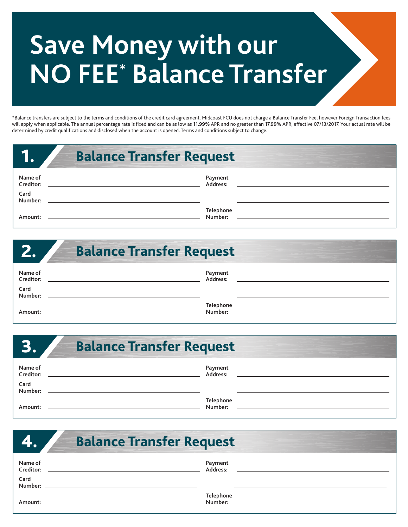# **Save Money with our NO FEE\* Balance Transfer**

\*Balance transfers are subject to the terms and conditions of the credit card agreement. Midcoast FCU does not charge a Balance Transfer Fee, however Foreign Transaction fees will apply when applicable. The annual percentage rate is fixed and can be as low as **11.99%** APR and no greater than **17.99%** APR, effective 07/13/2017. Your actual rate will be determined by credit qualifications and disclosed when the account is opened. Terms and conditions subject to change.

|                                         | <b>Balance Transfer Request</b> |
|-----------------------------------------|---------------------------------|
| Name of<br>Creditor:<br>Card<br>Number: | Payment<br>Address:             |
| Amount:                                 | Telephone<br>Number:            |

| Z.                                      | <b>Balance Transfer Request</b> |
|-----------------------------------------|---------------------------------|
| Name of<br>Creditor:<br>Card<br>Number: | Payment<br>Address:             |
| Amount:                                 | Telephone<br>Number:            |

|                      | <b>Balance Transfer Request</b> |  |  |  |
|----------------------|---------------------------------|--|--|--|
| Name of<br>Creditor: | Payment<br>Address:             |  |  |  |
| Card<br>Number:      |                                 |  |  |  |
| Amount:              | Telephone<br>Number:            |  |  |  |

| <b>YA</b>            | <b>Balance Transfer Request</b> |
|----------------------|---------------------------------|
| Name of<br>Creditor: | Payment<br>Address:             |
| Card<br>Number:      |                                 |
| Amount:              | <b>Telephone</b><br>Number:     |